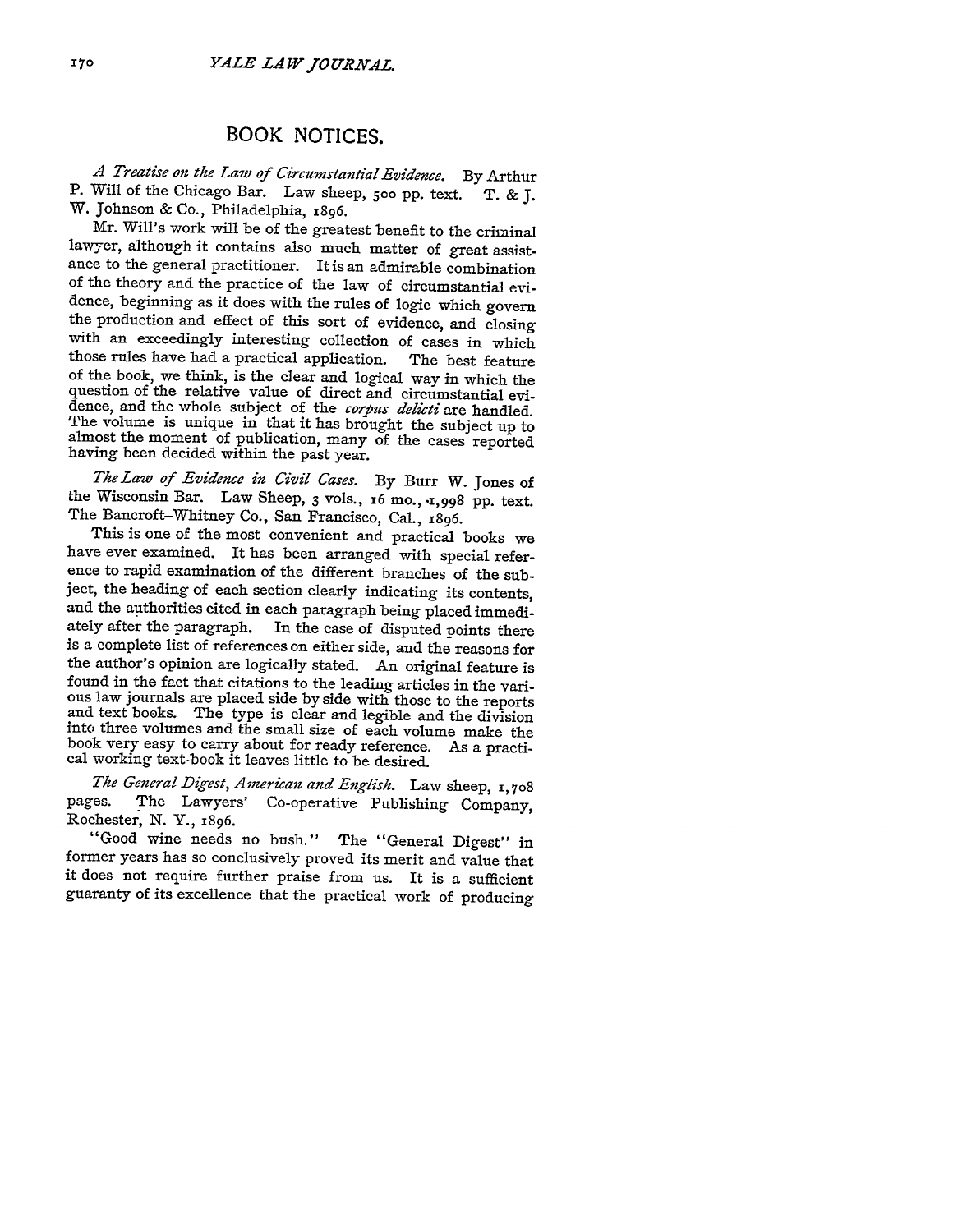## BOOK NOTICES.

*A Treatise on the Law of Circumstantial Evidence.* **By** Arthur P. Will of the Chicago Bar. Law sheep, **500** pp. text. T. & J. W. Johnson & Co., Philadelphia, 1896.

Mr. Will's work will be of the greatest benefit to the criminal lawyer, although it contains also much matter of great assistance to the general practitioner. It is an admirable combination of the theory and the practice of the law of circumstantial evidence, beginning as it does with the rules of logic which govern the production and effect of this sort of evidence, and closing with an exceedingly interesting collection of cases in which those rules have had a practical application. The best feature of the book, we think, is the clear and logical way in which the question of the relative value of direct and circumstantial evidence, and the whole subject of the *corpus delicti* are handled. The volume is unique in that it has brought the subject up to almost the moment of publication, many of the cases reported having been decided within the past year.

*The Law of Evidence in Civil Cases.* By Burr W. Jones of the Wisconsin Bar. Law Sheep, 3 vols., **x6** mo., **.1,998** pp. text. The Bancroft-Whitney Co., San Francisco, Cal., 1896.

This is one of the most convenient and practical books we have ever examined. It has been arranged with special reference to rapid examination of the different branches of the subject, the heading of each section clearly indicating its contents, and the authorities cited in each paragraph being placed immediately after the paragraph. In the case of disputed points there is a complete list of references on either side, and the reasons for the author's opinion are logically stated. An original feature is found in the fact that citations to the leading articles in the various law journals are placed side by side with those to the reports and text books. The type is clear and legible and the division into three volumes and the small size of each volume make the book very easy to carry about for ready reference. As a practi- cal working text-book it leaves little to be desired.

*The General Dzigest, American and English.* Law sheep, **1, 708** pages. The Lawyers' Co-operative Publishing Company, Rochester, N. Y., 1896.

"Good wine needs no bush." The "General Digest" in former years has so conclusively proved its merit and value that it does not require further praise from us. It is a sufficient guaranty of its excellence that the practical work of producing